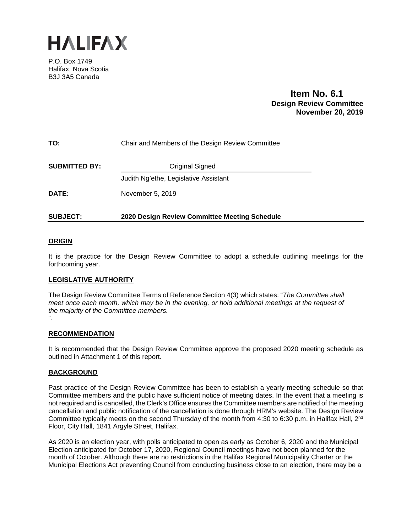

P.O. Box 1749 Halifax, Nova Scotia B3J 3A5 Canada

## **Item No. 6.1 Design Review Committee November 20, 2019**

## **TO:** Chair and Members of the Design Review Committee

**SUBMITTED BY:** Original Signed

Judith Ng'ethe, Legislative Assistant

**DATE:** November 5, 2019

## **SUBJECT: 2020 Design Review Committee Meeting Schedule**

## **ORIGIN**

It is the practice for the Design Review Committee to adopt a schedule outlining meetings for the forthcoming year.

## **LEGISLATIVE AUTHORITY**

The Design Review Committee Terms of Reference Section 4(3) which states: "*The Committee shall meet once each month, which may be in the evening, or hold additional meetings at the request of the majority of the Committee members.*  ".

#### **RECOMMENDATION**

It is recommended that the Design Review Committee approve the proposed 2020 meeting schedule as outlined in Attachment 1 of this report.

## **BACKGROUND**

Past practice of the Design Review Committee has been to establish a yearly meeting schedule so that Committee members and the public have sufficient notice of meeting dates. In the event that a meeting is not required and is cancelled, the Clerk's Office ensures the Committee members are notified of the meeting cancellation and public notification of the cancellation is done through HRM's website. The Design Review Committee typically meets on the second Thursday of the month from 4:30 to 6:30 p.m. in Halifax Hall, 2<sup>nd</sup> Floor, City Hall, 1841 Argyle Street, Halifax.

As 2020 is an election year, with polls anticipated to open as early as October 6, 2020 and the Municipal Election anticipated for October 17, 2020, Regional Council meetings have not been planned for the month of October. Although there are no restrictions in the Halifax Regional Municipality Charter or the Municipal Elections Act preventing Council from conducting business close to an election, there may be a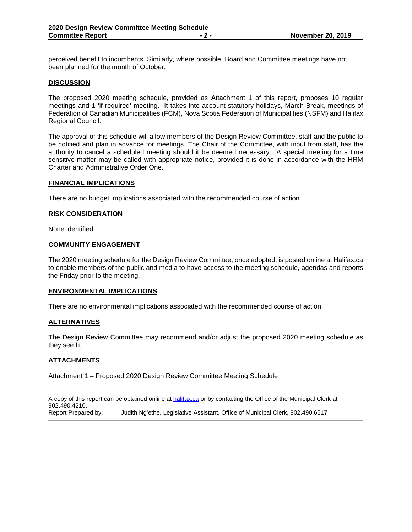perceived benefit to incumbents. Similarly, where possible, Board and Committee meetings have not been planned for the month of October.

#### **DISCUSSION**

The proposed 2020 meeting schedule, provided as Attachment 1 of this report, proposes 10 regular meetings and 1 'if required' meeting. It takes into account statutory holidays, March Break, meetings of Federation of Canadian Municipalities (FCM), Nova Scotia Federation of Municipalities (NSFM) and Halifax Regional Council.

The approval of this schedule will allow members of the Design Review Committee, staff and the public to be notified and plan in advance for meetings. The Chair of the Committee, with input from staff, has the authority to cancel a scheduled meeting should it be deemed necessary. A special meeting for a time sensitive matter may be called with appropriate notice, provided it is done in accordance with the HRM Charter and Administrative Order One.

#### **FINANCIAL IMPLICATIONS**

There are no budget implications associated with the recommended course of action.

#### **RISK CONSIDERATION**

None identified.

#### **COMMUNITY ENGAGEMENT**

The 2020 meeting schedule for the Design Review Committee, once adopted, is posted online at Halifax.ca to enable members of the public and media to have access to the meeting schedule, agendas and reports the Friday prior to the meeting.

#### **ENVIRONMENTAL IMPLICATIONS**

There are no environmental implications associated with the recommended course of action.

#### **ALTERNATIVES**

The Design Review Committee may recommend and/or adjust the proposed 2020 meeting schedule as they see fit.

\_\_\_\_\_\_\_\_\_\_\_\_\_\_\_\_\_\_\_\_\_\_\_\_\_\_\_\_\_\_\_\_\_\_\_\_\_\_\_\_\_\_\_\_\_\_\_\_\_\_\_\_\_\_\_\_\_\_\_\_\_\_\_\_\_\_\_\_\_\_\_\_\_\_\_\_\_\_\_\_\_\_\_\_

#### **ATTACHMENTS**

Attachment 1 – Proposed 2020 Design Review Committee Meeting Schedule

A copy of this report can be obtained online a[t halifax.ca](http://www.halifax.ca/) or by contacting the Office of the Municipal Clerk at 902.490.4210.<br>Report Prepared by: Judith Ng'ethe, Legislative Assistant, Office of Municipal Clerk, 902.490.6517